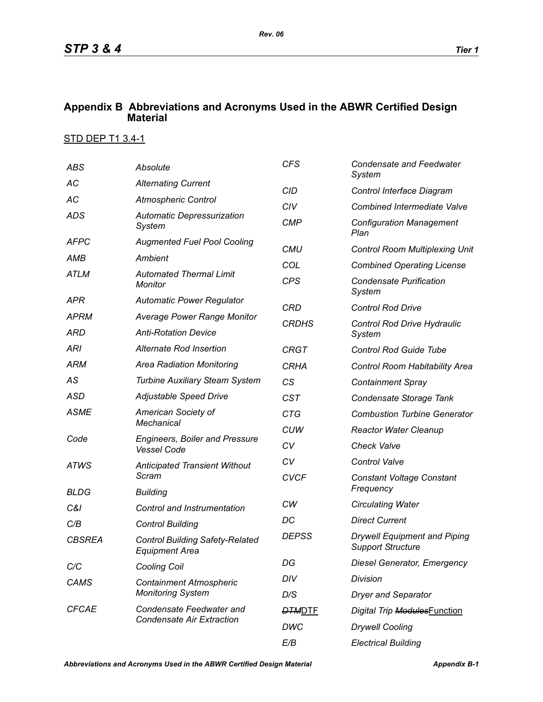## **Appendix B Abbreviations and Acronyms Used in the ABWR Certified Design Material**

## STD DEP T1 3.4-1

| <b>ABS</b>          | Absolute                                                                                                | <b>CFS</b>    | <b>Condensate and Feedwater</b><br>System                       |  |
|---------------------|---------------------------------------------------------------------------------------------------------|---------------|-----------------------------------------------------------------|--|
| АC                  | <b>Alternating Current</b>                                                                              | <b>CID</b>    | Control Interface Diagram                                       |  |
| AC                  | <b>Atmospheric Control</b>                                                                              | CIV           | <b>Combined Intermediate Valve</b>                              |  |
| <b>ADS</b>          | <b>Automatic Depressurization</b><br>System                                                             | <b>CMP</b>    | <b>Configuration Management</b><br>Plan                         |  |
| <b>AFPC</b>         | <b>Augmented Fuel Pool Cooling</b>                                                                      | <b>CMU</b>    | <b>Control Room Multiplexing Unit</b>                           |  |
| AMB                 | Ambient                                                                                                 | COL           | <b>Combined Operating License</b>                               |  |
| <b>ATLM</b>         | <b>Automated Thermal Limit</b><br>Monitor                                                               | <b>CPS</b>    | <b>Condensate Purification</b><br>System                        |  |
| APR                 | <b>Automatic Power Regulator</b>                                                                        | <b>CRD</b>    | <b>Control Rod Drive</b>                                        |  |
| <b>APRM</b>         | <b>Average Power Range Monitor</b>                                                                      | <b>CRDHS</b>  | Control Rod Drive Hydraulic                                     |  |
| ARD                 | <b>Anti-Rotation Device</b>                                                                             |               | System                                                          |  |
| <b>ARI</b>          | Alternate Rod Insertion                                                                                 | <b>CRGT</b>   | <b>Control Rod Guide Tube</b>                                   |  |
| <b>ARM</b>          | <b>Area Radiation Monitoring</b>                                                                        | <b>CRHA</b>   | Control Room Habitability Area                                  |  |
| AS                  | <b>Turbine Auxiliary Steam System</b>                                                                   | CS            | <b>Containment Spray</b>                                        |  |
| <b>ASD</b>          | Adjustable Speed Drive                                                                                  | <b>CST</b>    | Condensate Storage Tank                                         |  |
| <b>ASME</b><br>Code | American Society of<br><b>Mechanical</b><br><b>Engineers, Boiler and Pressure</b><br><b>Vessel Code</b> | <b>CTG</b>    | <b>Combustion Turbine Generator</b>                             |  |
|                     |                                                                                                         | <b>CUW</b>    | <b>Reactor Water Cleanup</b>                                    |  |
|                     |                                                                                                         | CV            | <b>Check Valve</b>                                              |  |
| <b>ATWS</b>         | <b>Anticipated Transient Without</b><br>Scram                                                           | CV            | <b>Control Valve</b>                                            |  |
|                     |                                                                                                         | <b>CVCF</b>   | <b>Constant Voltage Constant</b><br>Frequency                   |  |
| <b>BLDG</b>         | <b>Building</b>                                                                                         | CW            |                                                                 |  |
| C&I                 | Control and Instrumentation                                                                             | DC            | <b>Circulating Water</b>                                        |  |
| C/B                 | <b>Control Building</b>                                                                                 |               | <b>Direct Current</b>                                           |  |
| <b>CBSREA</b>       | <b>Control Building Safety-Related</b><br><b>Equipment Area</b>                                         | <b>DEPSS</b>  | <b>Drywell Equipment and Piping</b><br><b>Support Structure</b> |  |
| C/C                 | <b>Cooling Coil</b>                                                                                     | DG            | <b>Diesel Generator, Emergency</b>                              |  |
| CAMS                | <b>Containment Atmospheric</b><br><b>Monitoring System</b>                                              | DIV           | Division                                                        |  |
|                     |                                                                                                         | D/S           | <b>Dryer and Separator</b>                                      |  |
| <b>CFCAE</b>        | Condensate Feedwater and<br><b>Condensate Air Extraction</b>                                            | <b>DTMDTE</b> | Digital Trip ModulesFunction                                    |  |
|                     |                                                                                                         | DWC           | <b>Drywell Cooling</b>                                          |  |
|                     |                                                                                                         | E/B           | <b>Electrical Building</b>                                      |  |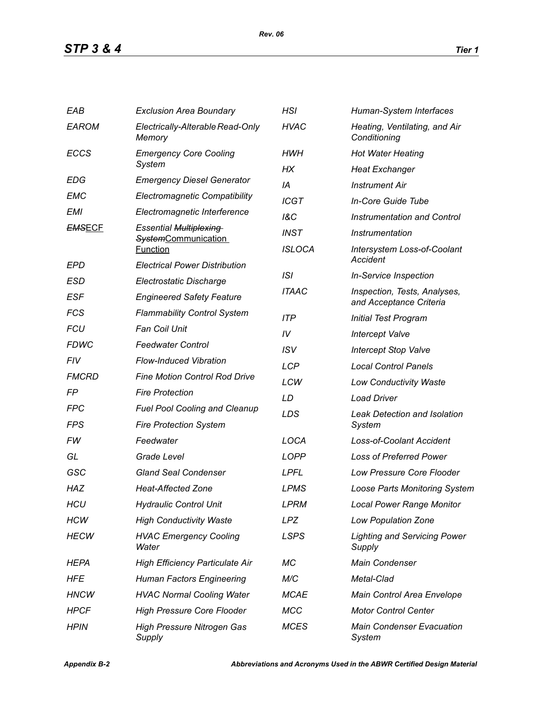| EAB           | <b>Exclusion Area Boundary</b>                | HSI            | Human-System Interfaces                                 |  |
|---------------|-----------------------------------------------|----------------|---------------------------------------------------------|--|
| <b>EAROM</b>  | Electrically-Alterable Read-Only<br>Memory    | <b>HVAC</b>    | Heating, Ventilating, and Air<br>Conditioning           |  |
| <b>ECCS</b>   | <b>Emergency Core Cooling</b>                 | HWH            | <b>Hot Water Heating</b>                                |  |
|               | System                                        | НX             | <b>Heat Exchanger</b>                                   |  |
| <b>EDG</b>    | <b>Emergency Diesel Generator</b>             | IA             | <b>Instrument Air</b>                                   |  |
| EMC           | <b>Electromagnetic Compatibility</b>          | <b>ICGT</b>    | In-Core Guide Tube                                      |  |
| <b>EMI</b>    | Electromagnetic Interference                  | <b>1&amp;C</b> | <b>Instrumentation and Control</b>                      |  |
| <b>EMSECF</b> | <b>Essential Multiplexing</b>                 | <b>INST</b>    | Instrumentation                                         |  |
|               | <b>SystemCommunication</b><br><b>Function</b> | <b>ISLOCA</b>  | Intersystem Loss-of-Coolant                             |  |
| EPD           | <b>Electrical Power Distribution</b>          |                | Accident                                                |  |
| ESD           | Electrostatic Discharge                       | ISI            | <b>In-Service Inspection</b>                            |  |
| <b>ESF</b>    | <b>Engineered Safety Feature</b>              | <b>ITAAC</b>   | Inspection, Tests, Analyses,<br>and Acceptance Criteria |  |
| <b>FCS</b>    | <b>Flammability Control System</b>            | <b>ITP</b>     | <b>Initial Test Program</b>                             |  |
| <b>FCU</b>    | <b>Fan Coil Unit</b>                          | IV             | <b>Intercept Valve</b>                                  |  |
| <b>FDWC</b>   | <b>Feedwater Control</b>                      | <b>ISV</b>     | <b>Intercept Stop Valve</b>                             |  |
| FIV           | <b>Flow-Induced Vibration</b>                 | <b>LCP</b>     | <b>Local Control Panels</b>                             |  |
| <b>FMCRD</b>  | <b>Fine Motion Control Rod Drive</b>          | LCW            | <b>Low Conductivity Waste</b>                           |  |
| FP            | <b>Fire Protection</b>                        | LD             | <b>Load Driver</b>                                      |  |
| <b>FPC</b>    | <b>Fuel Pool Cooling and Cleanup</b>          | LDS            | <b>Leak Detection and Isolation</b>                     |  |
| FPS           | <b>Fire Protection System</b>                 |                | System                                                  |  |
| FW            | Feedwater                                     | LOCA           | <b>Loss-of-Coolant Accident</b>                         |  |
| GL            | Grade Level                                   | <b>LOPP</b>    | <b>Loss of Preferred Power</b>                          |  |
| GSC           | <b>Gland Seal Condenser</b>                   | <b>LPFL</b>    | <b>Low Pressure Core Flooder</b>                        |  |
| <b>HAZ</b>    | <b>Heat-Affected Zone</b>                     | <b>LPMS</b>    | <b>Loose Parts Monitoring System</b>                    |  |
| <b>HCU</b>    | <b>Hydraulic Control Unit</b>                 | <b>LPRM</b>    | <b>Local Power Range Monitor</b>                        |  |
| <b>HCW</b>    | <b>High Conductivity Waste</b>                | <b>LPZ</b>     | Low Population Zone                                     |  |
| <b>HECW</b>   | <b>HVAC Emergency Cooling</b><br>Water        | <b>LSPS</b>    | <b>Lighting and Servicing Power</b><br>Supply           |  |
| HEPA          | <b>High Efficiency Particulate Air</b>        | МC             | <b>Main Condenser</b>                                   |  |
| HFE           | <b>Human Factors Engineering</b>              | M/C            | Metal-Clad                                              |  |
| <b>HNCW</b>   | <b>HVAC Normal Cooling Water</b>              | <b>MCAE</b>    | Main Control Area Envelope                              |  |
| <b>HPCF</b>   | <b>High Pressure Core Flooder</b>             | <b>MCC</b>     | <b>Motor Control Center</b>                             |  |
| <b>HPIN</b>   | <b>High Pressure Nitrogen Gas</b><br>Supply   | <b>MCES</b>    | <b>Main Condenser Evacuation</b><br>System              |  |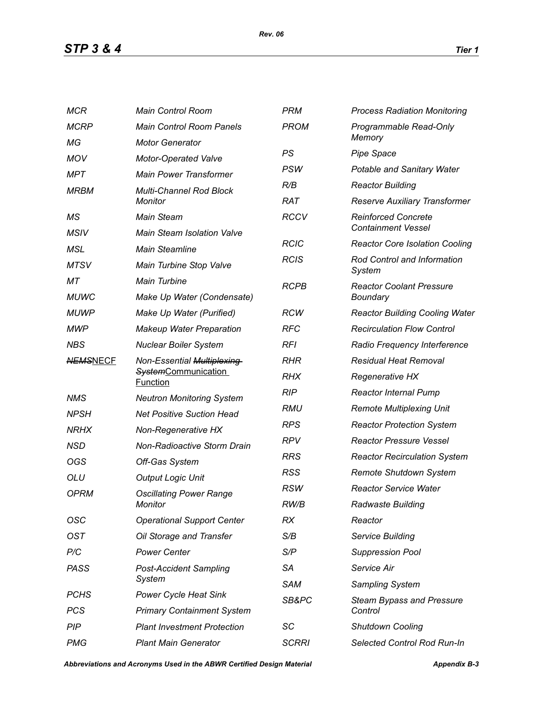*STP 3 & 4 Tier 1*

| <b>MCR</b>      | <b>Main Control Room</b>                                                    | <b>PRM</b>   | <b>Process Radiation Monitoring</b>                     |  |
|-----------------|-----------------------------------------------------------------------------|--------------|---------------------------------------------------------|--|
| <b>MCRP</b>     | <b>Main Control Room Panels</b>                                             | <b>PROM</b>  | Programmable Read-Only                                  |  |
| МG              | <b>Motor Generator</b>                                                      |              | Memory                                                  |  |
| <b>MOV</b>      | Motor-Operated Valve                                                        | PS           | <b>Pipe Space</b>                                       |  |
| MPT             | <b>Main Power Transformer</b>                                               | PSW          | Potable and Sanitary Water                              |  |
| <b>MRBM</b>     | Multi-Channel Rod Block                                                     | R/B          | <b>Reactor Building</b>                                 |  |
|                 | Monitor                                                                     | <b>RAT</b>   | Reserve Auxiliary Transformer                           |  |
| МS              | <b>Main Steam</b>                                                           | <b>RCCV</b>  | <b>Reinforced Concrete</b><br><b>Containment Vessel</b> |  |
| <b>MSIV</b>     | <b>Main Steam Isolation Valve</b>                                           | <b>RCIC</b>  | <b>Reactor Core Isolation Cooling</b>                   |  |
| MSL             | <b>Main Steamline</b>                                                       | <b>RCIS</b>  | Rod Control and Information                             |  |
| <b>MTSV</b>     | Main Turbine Stop Valve                                                     | System       |                                                         |  |
| МT              | <b>Main Turbine</b>                                                         | <b>RCPB</b>  | <b>Reactor Coolant Pressure</b>                         |  |
| <b>MUWC</b>     | Make Up Water (Condensate)                                                  |              | Boundary                                                |  |
| <b>MUWP</b>     | Make Up Water (Purified)                                                    | <b>RCW</b>   | <b>Reactor Building Cooling Water</b>                   |  |
| <b>MWP</b>      | <b>Makeup Water Preparation</b>                                             | <b>RFC</b>   | <b>Recirculation Flow Control</b>                       |  |
| <b>NBS</b>      | <b>Nuclear Boiler System</b>                                                | <b>RFI</b>   | Radio Frequency Interference                            |  |
| <b>NEMSNECF</b> | Non-Essential Multiplexing<br><b>SystemCommunication</b><br><b>Function</b> | <b>RHR</b>   | <b>Residual Heat Removal</b>                            |  |
|                 |                                                                             | <b>RHX</b>   | Regenerative HX                                         |  |
| <b>NMS</b>      | <b>Neutron Monitoring System</b>                                            | <b>RIP</b>   | <b>Reactor Internal Pump</b>                            |  |
| <b>NPSH</b>     | <b>Net Positive Suction Head</b>                                            | RMU          | <b>Remote Multiplexing Unit</b>                         |  |
| <b>NRHX</b>     | Non-Regenerative HX                                                         | <b>RPS</b>   | <b>Reactor Protection System</b>                        |  |
| <b>NSD</b>      | Non-Radioactive Storm Drain                                                 | <b>RPV</b>   | <b>Reactor Pressure Vessel</b>                          |  |
| OGS             | Off-Gas System                                                              | <b>RRS</b>   | <b>Reactor Recirculation System</b>                     |  |
| <b>OLU</b>      | <b>Output Logic Unit</b>                                                    | <b>RSS</b>   | Remote Shutdown System                                  |  |
| <b>OPRM</b>     | <b>Oscillating Power Range</b><br>Monitor                                   | <b>RSW</b>   | <b>Reactor Service Water</b>                            |  |
|                 |                                                                             | RW/B         | <b>Radwaste Building</b>                                |  |
| OSC             | <b>Operational Support Center</b>                                           | RX           | Reactor                                                 |  |
| <b>OST</b>      | Oil Storage and Transfer                                                    | S/B          | Service Building                                        |  |
| P/C             | <b>Power Center</b>                                                         | S/P          | <b>Suppression Pool</b>                                 |  |
| <b>PASS</b>     | <b>Post-Accident Sampling</b>                                               | <b>SA</b>    | Service Air                                             |  |
|                 | System                                                                      | SAM          | Sampling System                                         |  |
| <b>PCHS</b>     | <b>Power Cycle Heat Sink</b>                                                | SB&PC        | <b>Steam Bypass and Pressure</b>                        |  |
| <b>PCS</b>      | <b>Primary Containment System</b>                                           |              | Control                                                 |  |
| PIP             | <b>Plant Investment Protection</b>                                          | SC           | <b>Shutdown Cooling</b>                                 |  |
| <b>PMG</b>      | <b>Plant Main Generator</b>                                                 | <b>SCRRI</b> | Selected Control Rod Run-In                             |  |